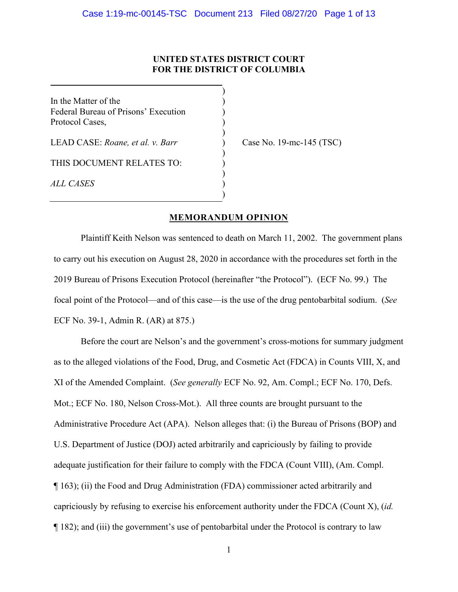# **UNITED STATES DISTRICT COURT FOR THE DISTRICT OF COLUMBIA**

)

)

)

)

)

In the Matter of the  $($ Federal Bureau of Prisons' Execution ) Protocol Cases, )

LEAD CASE: *Roane, et al. v. Barr* ) Case No. 19-mc-145 (TSC)

THIS DOCUMENT RELATES TO:

*ALL CASES* )

# **MEMORANDUM OPINION**

Plaintiff Keith Nelson was sentenced to death on March 11, 2002. The government plans to carry out his execution on August 28, 2020 in accordance with the procedures set forth in the 2019 Bureau of Prisons Execution Protocol (hereinafter "the Protocol"). (ECF No. 99.) The focal point of the Protocol—and of this case—is the use of the drug pentobarbital sodium. (*See*  ECF No. 39-1, Admin R. (AR) at 875.)

Before the court are Nelson's and the government's cross-motions for summary judgment as to the alleged violations of the Food, Drug, and Cosmetic Act (FDCA) in Counts VIII, X, and XI of the Amended Complaint. (*See generally* ECF No. 92, Am. Compl.; ECF No. 170, Defs. Mot.; ECF No. 180, Nelson Cross-Mot.). All three counts are brought pursuant to the Administrative Procedure Act (APA). Nelson alleges that: (i) the Bureau of Prisons (BOP) and U.S. Department of Justice (DOJ) acted arbitrarily and capriciously by failing to provide adequate justification for their failure to comply with the FDCA (Count VIII), (Am. Compl. ¶ 163); (ii) the Food and Drug Administration (FDA) commissioner acted arbitrarily and capriciously by refusing to exercise his enforcement authority under the FDCA (Count X), (*id.* ¶ 182); and (iii) the government's use of pentobarbital under the Protocol is contrary to law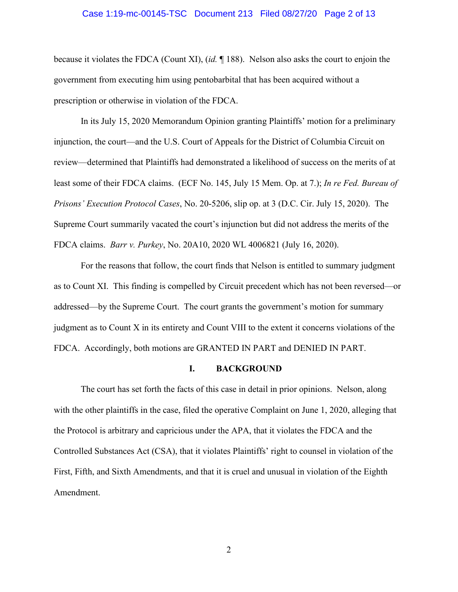#### Case 1:19-mc-00145-TSC Document 213 Filed 08/27/20 Page 2 of 13

because it violates the FDCA (Count XI), (*id.* ¶ 188). Nelson also asks the court to enjoin the government from executing him using pentobarbital that has been acquired without a prescription or otherwise in violation of the FDCA.

In its July 15, 2020 Memorandum Opinion granting Plaintiffs' motion for a preliminary injunction, the court—and the U.S. Court of Appeals for the District of Columbia Circuit on review—determined that Plaintiffs had demonstrated a likelihood of success on the merits of at least some of their FDCA claims. (ECF No. 145, July 15 Mem. Op. at 7.); *In re Fed. Bureau of Prisons' Execution Protocol Cases*, No. 20-5206, slip op. at 3 (D.C. Cir. July 15, 2020). The Supreme Court summarily vacated the court's injunction but did not address the merits of the FDCA claims. *Barr v. Purkey*, No. 20A10, 2020 WL 4006821 (July 16, 2020).

For the reasons that follow, the court finds that Nelson is entitled to summary judgment as to Count XI. This finding is compelled by Circuit precedent which has not been reversed—or addressed—by the Supreme Court. The court grants the government's motion for summary judgment as to Count X in its entirety and Count VIII to the extent it concerns violations of the FDCA. Accordingly, both motions are GRANTED IN PART and DENIED IN PART.

#### **I. BACKGROUND**

The court has set forth the facts of this case in detail in prior opinions. Nelson, along with the other plaintiffs in the case, filed the operative Complaint on June 1, 2020, alleging that the Protocol is arbitrary and capricious under the APA, that it violates the FDCA and the Controlled Substances Act (CSA), that it violates Plaintiffs' right to counsel in violation of the First, Fifth, and Sixth Amendments, and that it is cruel and unusual in violation of the Eighth Amendment.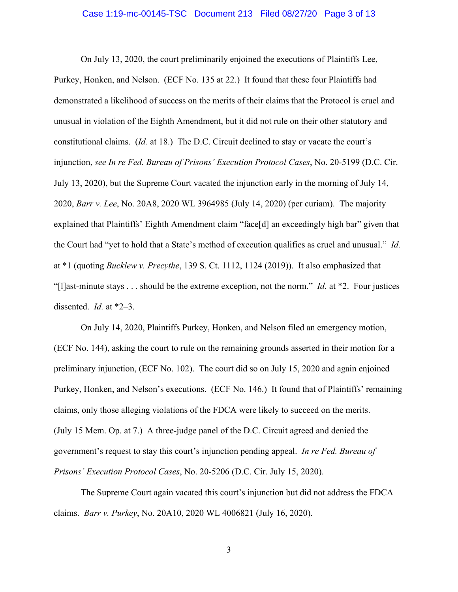#### Case 1:19-mc-00145-TSC Document 213 Filed 08/27/20 Page 3 of 13

On July 13, 2020, the court preliminarily enjoined the executions of Plaintiffs Lee, Purkey, Honken, and Nelson. (ECF No. 135 at 22.) It found that these four Plaintiffs had demonstrated a likelihood of success on the merits of their claims that the Protocol is cruel and unusual in violation of the Eighth Amendment, but it did not rule on their other statutory and constitutional claims. (*Id.* at 18.) The D.C. Circuit declined to stay or vacate the court's injunction, *see In re Fed. Bureau of Prisons' Execution Protocol Cases*, No. 20-5199 (D.C. Cir. July 13, 2020), but the Supreme Court vacated the injunction early in the morning of July 14, 2020, *Barr v. Lee*, No. 20A8, 2020 WL 3964985 (July 14, 2020) (per curiam). The majority explained that Plaintiffs' Eighth Amendment claim "face[d] an exceedingly high bar" given that the Court had "yet to hold that a State's method of execution qualifies as cruel and unusual." *Id.* at \*1 (quoting *Bucklew v. Precythe*, 139 S. Ct. 1112, 1124 (2019)). It also emphasized that "[l]ast-minute stays . . . should be the extreme exception, not the norm." *Id.* at \*2. Four justices dissented. *Id.* at \*2–3.

On July 14, 2020, Plaintiffs Purkey, Honken, and Nelson filed an emergency motion, (ECF No. 144), asking the court to rule on the remaining grounds asserted in their motion for a preliminary injunction, (ECF No. 102). The court did so on July 15, 2020 and again enjoined Purkey, Honken, and Nelson's executions. (ECF No. 146.) It found that of Plaintiffs' remaining claims, only those alleging violations of the FDCA were likely to succeed on the merits. (July 15 Mem. Op. at 7.) A three-judge panel of the D.C. Circuit agreed and denied the government's request to stay this court's injunction pending appeal. *In re Fed. Bureau of Prisons' Execution Protocol Cases*, No. 20-5206 (D.C. Cir. July 15, 2020).

The Supreme Court again vacated this court's injunction but did not address the FDCA claims. *Barr v. Purkey*, No. 20A10, 2020 WL 4006821 (July 16, 2020).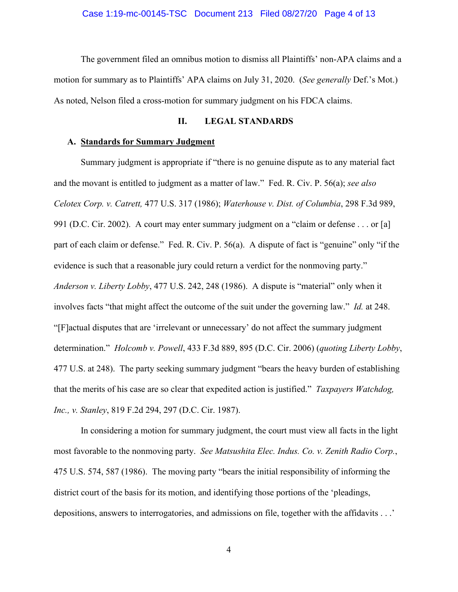The government filed an omnibus motion to dismiss all Plaintiffs' non-APA claims and a motion for summary as to Plaintiffs' APA claims on July 31, 2020. (*See generally* Def.'s Mot.) As noted, Nelson filed a cross-motion for summary judgment on his FDCA claims.

# **II. LEGAL STANDARDS**

#### **A. Standards for Summary Judgment**

Summary judgment is appropriate if "there is no genuine dispute as to any material fact and the movant is entitled to judgment as a matter of law." Fed. R. Civ. P. 56(a); *see also Celotex Corp. v. Catrett,* 477 U.S. 317 (1986); *Waterhouse v. Dist. of Columbia*, 298 F.3d 989, 991 (D.C. Cir. 2002). A court may enter summary judgment on a "claim or defense . . . or [a] part of each claim or defense." Fed. R. Civ. P. 56(a). A dispute of fact is "genuine" only "if the evidence is such that a reasonable jury could return a verdict for the nonmoving party." *Anderson v. Liberty Lobby*, 477 U.S. 242, 248 (1986). A dispute is "material" only when it involves facts "that might affect the outcome of the suit under the governing law." *Id.* at 248. "[F]actual disputes that are 'irrelevant or unnecessary' do not affect the summary judgment determination." *Holcomb v. Powell*, 433 F.3d 889, 895 (D.C. Cir. 2006) (*quoting Liberty Lobby*, 477 U.S. at 248). The party seeking summary judgment "bears the heavy burden of establishing that the merits of his case are so clear that expedited action is justified." *Taxpayers Watchdog, Inc., v. Stanley*, 819 F.2d 294, 297 (D.C. Cir. 1987).

In considering a motion for summary judgment, the court must view all facts in the light most favorable to the nonmoving party. *See Matsushita Elec. Indus. Co. v. Zenith Radio Corp.*, 475 U.S. 574, 587 (1986). The moving party "bears the initial responsibility of informing the district court of the basis for its motion, and identifying those portions of the 'pleadings, depositions, answers to interrogatories, and admissions on file, together with the affidavits . . .'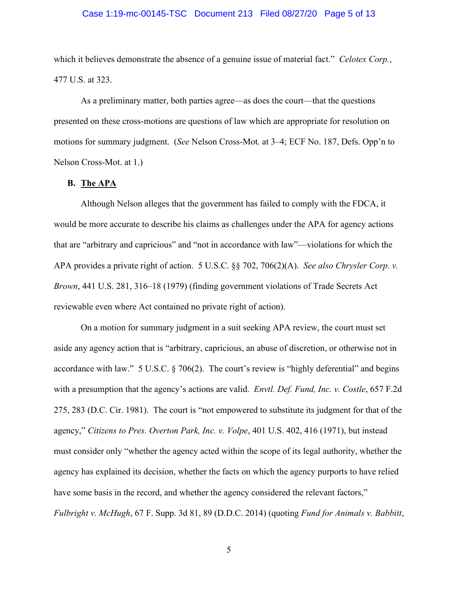### Case 1:19-mc-00145-TSC Document 213 Filed 08/27/20 Page 5 of 13

which it believes demonstrate the absence of a genuine issue of material fact." *Celotex Corp.*, 477 U.S. at 323.

As a preliminary matter, both parties agree—as does the court—that the questions presented on these cross-motions are questions of law which are appropriate for resolution on motions for summary judgment. (*See* Nelson Cross-Mot. at 3–4; ECF No. 187, Defs. Opp'n to Nelson Cross-Mot. at 1.)

# **B. The APA**

Although Nelson alleges that the government has failed to comply with the FDCA, it would be more accurate to describe his claims as challenges under the APA for agency actions that are "arbitrary and capricious" and "not in accordance with law"—violations for which the APA provides a private right of action. 5 U.S.C. §§ 702, 706(2)(A). *See also Chrysler Corp. v. Brown*, 441 U.S. 281, 316–18 (1979) (finding government violations of Trade Secrets Act reviewable even where Act contained no private right of action).

On a motion for summary judgment in a suit seeking APA review, the court must set aside any agency action that is "arbitrary, capricious, an abuse of discretion, or otherwise not in accordance with law." 5 U.S.C. § 706(2). The court's review is "highly deferential" and begins with a presumption that the agency's actions are valid. *Envtl. Def. Fund, Inc. v. Costle*, 657 F.2d 275, 283 (D.C. Cir. 1981). The court is "not empowered to substitute its judgment for that of the agency," *Citizens to Pres. Overton Park, Inc. v. Volpe*, 401 U.S. 402, 416 (1971), but instead must consider only "whether the agency acted within the scope of its legal authority, whether the agency has explained its decision, whether the facts on which the agency purports to have relied have some basis in the record, and whether the agency considered the relevant factors," *Fulbright v. McHugh*, 67 F. Supp. 3d 81, 89 (D.D.C. 2014) (quoting *Fund for Animals v. Babbitt*,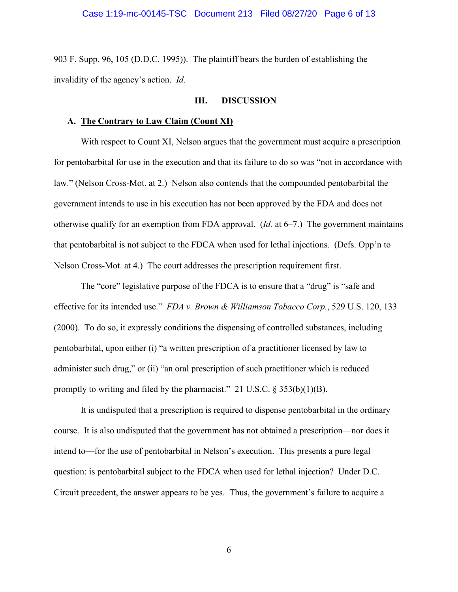903 F. Supp. 96, 105 (D.D.C. 1995)). The plaintiff bears the burden of establishing the invalidity of the agency's action. *Id.*

#### **III. DISCUSSION**

#### **A. The Contrary to Law Claim (Count XI)**

With respect to Count XI, Nelson argues that the government must acquire a prescription for pentobarbital for use in the execution and that its failure to do so was "not in accordance with law." (Nelson Cross-Mot. at 2.) Nelson also contends that the compounded pentobarbital the government intends to use in his execution has not been approved by the FDA and does not otherwise qualify for an exemption from FDA approval. (*Id.* at 6–7.) The government maintains that pentobarbital is not subject to the FDCA when used for lethal injections. (Defs. Opp'n to Nelson Cross-Mot. at 4.) The court addresses the prescription requirement first.

The "core" legislative purpose of the FDCA is to ensure that a "drug" is "safe and effective for its intended use." *FDA v. Brown & Williamson Tobacco Corp.*, 529 U.S. 120, 133 (2000). To do so, it expressly conditions the dispensing of controlled substances, including pentobarbital, upon either (i) "a written prescription of a practitioner licensed by law to administer such drug," or (ii) "an oral prescription of such practitioner which is reduced promptly to writing and filed by the pharmacist." 21 U.S.C.  $\S 353(b)(1)(B)$ .

It is undisputed that a prescription is required to dispense pentobarbital in the ordinary course. It is also undisputed that the government has not obtained a prescription—nor does it intend to—for the use of pentobarbital in Nelson's execution. This presents a pure legal question: is pentobarbital subject to the FDCA when used for lethal injection? Under D.C. Circuit precedent, the answer appears to be yes. Thus, the government's failure to acquire a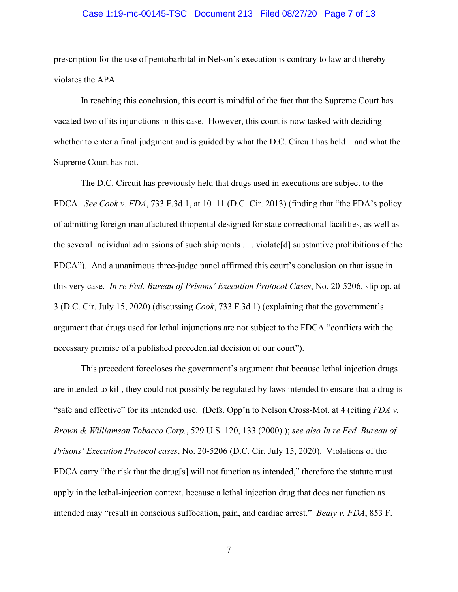### Case 1:19-mc-00145-TSC Document 213 Filed 08/27/20 Page 7 of 13

prescription for the use of pentobarbital in Nelson's execution is contrary to law and thereby violates the APA.

In reaching this conclusion, this court is mindful of the fact that the Supreme Court has vacated two of its injunctions in this case. However, this court is now tasked with deciding whether to enter a final judgment and is guided by what the D.C. Circuit has held—and what the Supreme Court has not.

The D.C. Circuit has previously held that drugs used in executions are subject to the FDCA. *See Cook v. FDA*, 733 F.3d 1, at 10–11 (D.C. Cir. 2013) (finding that "the FDA's policy of admitting foreign manufactured thiopental designed for state correctional facilities, as well as the several individual admissions of such shipments . . . violate[d] substantive prohibitions of the FDCA"). And a unanimous three-judge panel affirmed this court's conclusion on that issue in this very case. *In re Fed. Bureau of Prisons' Execution Protocol Cases*, No. 20-5206, slip op. at 3 (D.C. Cir. July 15, 2020) (discussing *Cook*, 733 F.3d 1) (explaining that the government's argument that drugs used for lethal injunctions are not subject to the FDCA "conflicts with the necessary premise of a published precedential decision of our court").

This precedent forecloses the government's argument that because lethal injection drugs are intended to kill, they could not possibly be regulated by laws intended to ensure that a drug is "safe and effective" for its intended use. (Defs. Opp'n to Nelson Cross-Mot. at 4 (citing *FDA v. Brown & Williamson Tobacco Corp.*, 529 U.S. 120, 133 (2000).); *see also In re Fed. Bureau of Prisons' Execution Protocol cases*, No. 20-5206 (D.C. Cir. July 15, 2020). Violations of the FDCA carry "the risk that the drug[s] will not function as intended," therefore the statute must apply in the lethal-injection context, because a lethal injection drug that does not function as intended may "result in conscious suffocation, pain, and cardiac arrest." *Beaty v. FDA*, 853 F.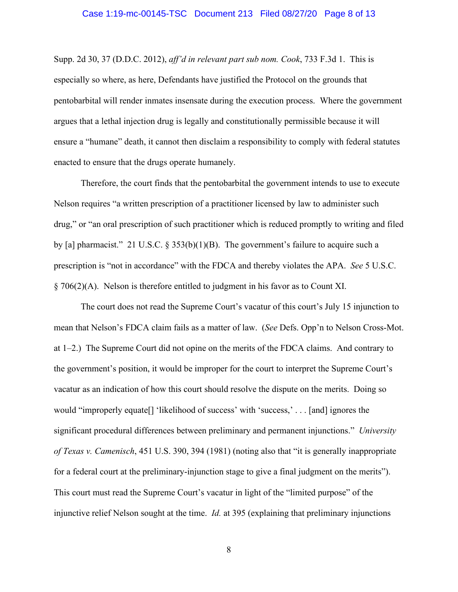#### Case 1:19-mc-00145-TSC Document 213 Filed 08/27/20 Page 8 of 13

Supp. 2d 30, 37 (D.D.C. 2012), *aff'd in relevant part sub nom. Cook*, 733 F.3d 1. This is especially so where, as here, Defendants have justified the Protocol on the grounds that pentobarbital will render inmates insensate during the execution process. Where the government argues that a lethal injection drug is legally and constitutionally permissible because it will ensure a "humane" death, it cannot then disclaim a responsibility to comply with federal statutes enacted to ensure that the drugs operate humanely.

Therefore, the court finds that the pentobarbital the government intends to use to execute Nelson requires "a written prescription of a practitioner licensed by law to administer such drug," or "an oral prescription of such practitioner which is reduced promptly to writing and filed by [a] pharmacist." 21 U.S.C. § 353(b)(1)(B). The government's failure to acquire such a prescription is "not in accordance" with the FDCA and thereby violates the APA. *See* 5 U.S.C. § 706(2)(A). Nelson is therefore entitled to judgment in his favor as to Count XI.

The court does not read the Supreme Court's vacatur of this court's July 15 injunction to mean that Nelson's FDCA claim fails as a matter of law. (*See* Defs. Opp'n to Nelson Cross-Mot. at 1–2.) The Supreme Court did not opine on the merits of the FDCA claims. And contrary to the government's position, it would be improper for the court to interpret the Supreme Court's vacatur as an indication of how this court should resolve the dispute on the merits. Doing so would "improperly equate[] 'likelihood of success' with 'success,' . . . [and] ignores the significant procedural differences between preliminary and permanent injunctions." *University of Texas v. Camenisch*, 451 U.S. 390, 394 (1981) (noting also that "it is generally inappropriate for a federal court at the preliminary-injunction stage to give a final judgment on the merits"). This court must read the Supreme Court's vacatur in light of the "limited purpose" of the injunctive relief Nelson sought at the time. *Id.* at 395 (explaining that preliminary injunctions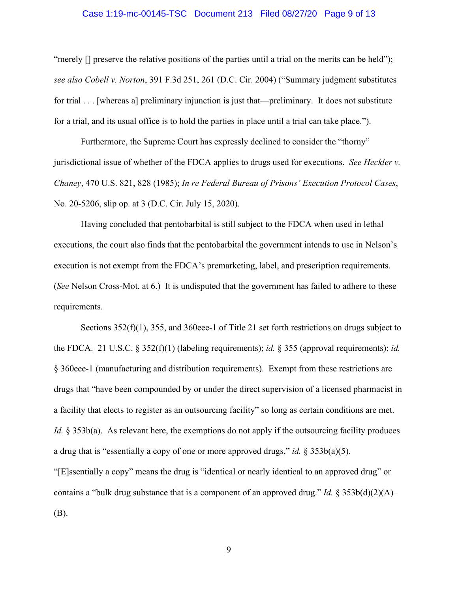### Case 1:19-mc-00145-TSC Document 213 Filed 08/27/20 Page 9 of 13

"merely [] preserve the relative positions of the parties until a trial on the merits can be held"); *see also Cobell v. Norton*, 391 F.3d 251, 261 (D.C. Cir. 2004) ("Summary judgment substitutes for trial . . . [whereas a] preliminary injunction is just that—preliminary. It does not substitute for a trial, and its usual office is to hold the parties in place until a trial can take place.").

Furthermore, the Supreme Court has expressly declined to consider the "thorny" jurisdictional issue of whether of the FDCA applies to drugs used for executions. *See Heckler v. Chaney*, 470 U.S. 821, 828 (1985); *In re Federal Bureau of Prisons' Execution Protocol Cases*, No. 20-5206, slip op. at 3 (D.C. Cir. July 15, 2020).

Having concluded that pentobarbital is still subject to the FDCA when used in lethal executions, the court also finds that the pentobarbital the government intends to use in Nelson's execution is not exempt from the FDCA's premarketing, label, and prescription requirements. (*See* Nelson Cross-Mot. at 6.) It is undisputed that the government has failed to adhere to these requirements.

Sections 352(f)(1), 355, and 360eee-1 of Title 21 set forth restrictions on drugs subject to the FDCA. 21 U.S.C. § 352(f)(1) (labeling requirements); *id.* § 355 (approval requirements); *id.* § 360eee-1 (manufacturing and distribution requirements). Exempt from these restrictions are drugs that "have been compounded by or under the direct supervision of a licensed pharmacist in a facility that elects to register as an outsourcing facility" so long as certain conditions are met. *Id.* § 353b(a). As relevant here, the exemptions do not apply if the outsourcing facility produces a drug that is "essentially a copy of one or more approved drugs," *id.* § 353b(a)(5). "[E]ssentially a copy" means the drug is "identical or nearly identical to an approved drug" or contains a "bulk drug substance that is a component of an approved drug." *Id.* § 353b(d)(2)(A)– (B).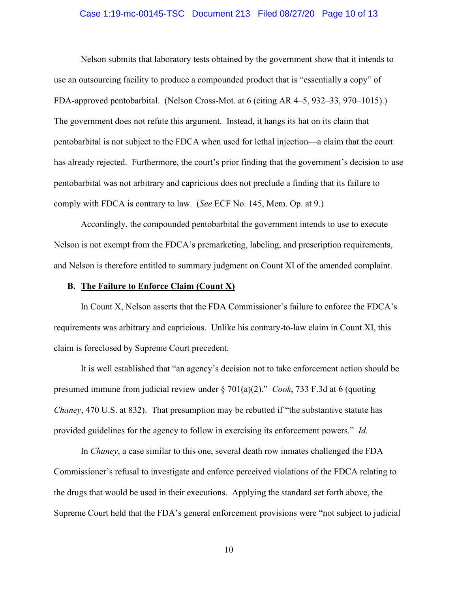### Case 1:19-mc-00145-TSC Document 213 Filed 08/27/20 Page 10 of 13

Nelson submits that laboratory tests obtained by the government show that it intends to use an outsourcing facility to produce a compounded product that is "essentially a copy" of FDA-approved pentobarbital. (Nelson Cross-Mot. at 6 (citing AR 4–5, 932–33, 970–1015).) The government does not refute this argument. Instead, it hangs its hat on its claim that pentobarbital is not subject to the FDCA when used for lethal injection—a claim that the court has already rejected. Furthermore, the court's prior finding that the government's decision to use pentobarbital was not arbitrary and capricious does not preclude a finding that its failure to comply with FDCA is contrary to law. (*See* ECF No. 145, Mem. Op. at 9.)

Accordingly, the compounded pentobarbital the government intends to use to execute Nelson is not exempt from the FDCA's premarketing, labeling, and prescription requirements, and Nelson is therefore entitled to summary judgment on Count XI of the amended complaint.

# **B. The Failure to Enforce Claim (Count X)**

In Count X, Nelson asserts that the FDA Commissioner's failure to enforce the FDCA's requirements was arbitrary and capricious. Unlike his contrary-to-law claim in Count XI, this claim is foreclosed by Supreme Court precedent.

It is well established that "an agency's decision not to take enforcement action should be presumed immune from judicial review under § 701(a)(2)." *Cook*, 733 F.3d at 6 (quoting *Chaney*, 470 U.S. at 832). That presumption may be rebutted if "the substantive statute has provided guidelines for the agency to follow in exercising its enforcement powers." *Id.*

In *Chaney*, a case similar to this one, several death row inmates challenged the FDA Commissioner's refusal to investigate and enforce perceived violations of the FDCA relating to the drugs that would be used in their executions. Applying the standard set forth above, the Supreme Court held that the FDA's general enforcement provisions were "not subject to judicial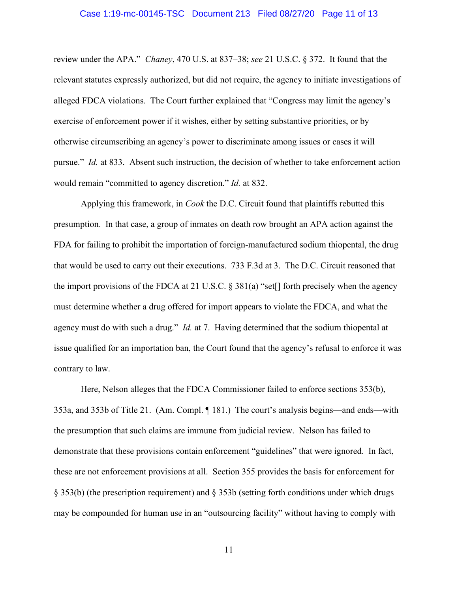#### Case 1:19-mc-00145-TSC Document 213 Filed 08/27/20 Page 11 of 13

review under the APA." *Chaney*, 470 U.S. at 837–38; *see* 21 U.S.C. § 372. It found that the relevant statutes expressly authorized, but did not require, the agency to initiate investigations of alleged FDCA violations. The Court further explained that "Congress may limit the agency's exercise of enforcement power if it wishes, either by setting substantive priorities, or by otherwise circumscribing an agency's power to discriminate among issues or cases it will pursue." *Id.* at 833. Absent such instruction, the decision of whether to take enforcement action would remain "committed to agency discretion." *Id.* at 832.

Applying this framework, in *Cook* the D.C. Circuit found that plaintiffs rebutted this presumption. In that case, a group of inmates on death row brought an APA action against the FDA for failing to prohibit the importation of foreign-manufactured sodium thiopental, the drug that would be used to carry out their executions. 733 F.3d at 3. The D.C. Circuit reasoned that the import provisions of the FDCA at 21 U.S.C. § 381(a) "set[] forth precisely when the agency must determine whether a drug offered for import appears to violate the FDCA, and what the agency must do with such a drug." *Id.* at 7. Having determined that the sodium thiopental at issue qualified for an importation ban, the Court found that the agency's refusal to enforce it was contrary to law.

Here, Nelson alleges that the FDCA Commissioner failed to enforce sections 353(b), 353a, and 353b of Title 21. (Am. Compl. ¶ 181.) The court's analysis begins—and ends—with the presumption that such claims are immune from judicial review. Nelson has failed to demonstrate that these provisions contain enforcement "guidelines" that were ignored. In fact, these are not enforcement provisions at all. Section 355 provides the basis for enforcement for § 353(b) (the prescription requirement) and § 353b (setting forth conditions under which drugs may be compounded for human use in an "outsourcing facility" without having to comply with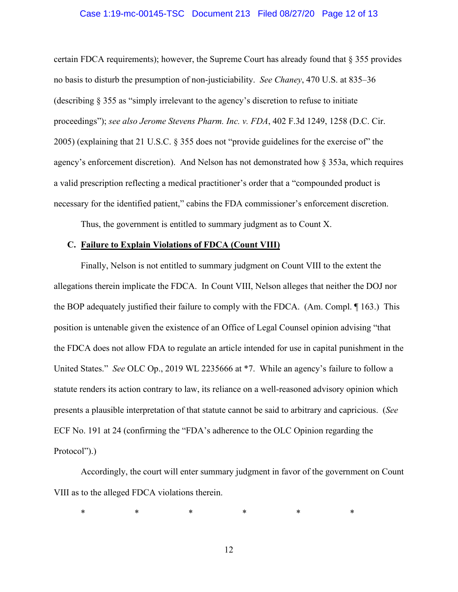### Case 1:19-mc-00145-TSC Document 213 Filed 08/27/20 Page 12 of 13

certain FDCA requirements); however, the Supreme Court has already found that  $\S 355$  provides no basis to disturb the presumption of non-justiciability. *See Chaney*, 470 U.S. at 835–36 (describing § 355 as "simply irrelevant to the agency's discretion to refuse to initiate proceedings"); *see also Jerome Stevens Pharm. Inc. v. FDA*, 402 F.3d 1249, 1258 (D.C. Cir. 2005) (explaining that 21 U.S.C. § 355 does not "provide guidelines for the exercise of" the agency's enforcement discretion). And Nelson has not demonstrated how § 353a, which requires a valid prescription reflecting a medical practitioner's order that a "compounded product is necessary for the identified patient," cabins the FDA commissioner's enforcement discretion.

Thus, the government is entitled to summary judgment as to Count X.

# **C. Failure to Explain Violations of FDCA (Count VIII)**

Finally, Nelson is not entitled to summary judgment on Count VIII to the extent the allegations therein implicate the FDCA. In Count VIII, Nelson alleges that neither the DOJ nor the BOP adequately justified their failure to comply with the FDCA. (Am. Compl. ¶ 163.) This position is untenable given the existence of an Office of Legal Counsel opinion advising "that the FDCA does not allow FDA to regulate an article intended for use in capital punishment in the United States." *See* OLC Op., 2019 WL 2235666 at \*7. While an agency's failure to follow a statute renders its action contrary to law, its reliance on a well-reasoned advisory opinion which presents a plausible interpretation of that statute cannot be said to arbitrary and capricious. (*See* ECF No. 191 at 24 (confirming the "FDA's adherence to the OLC Opinion regarding the Protocol").)

Accordingly, the court will enter summary judgment in favor of the government on Count VIII as to the alleged FDCA violations therein.

\* \* \* \* \* \* \* \*